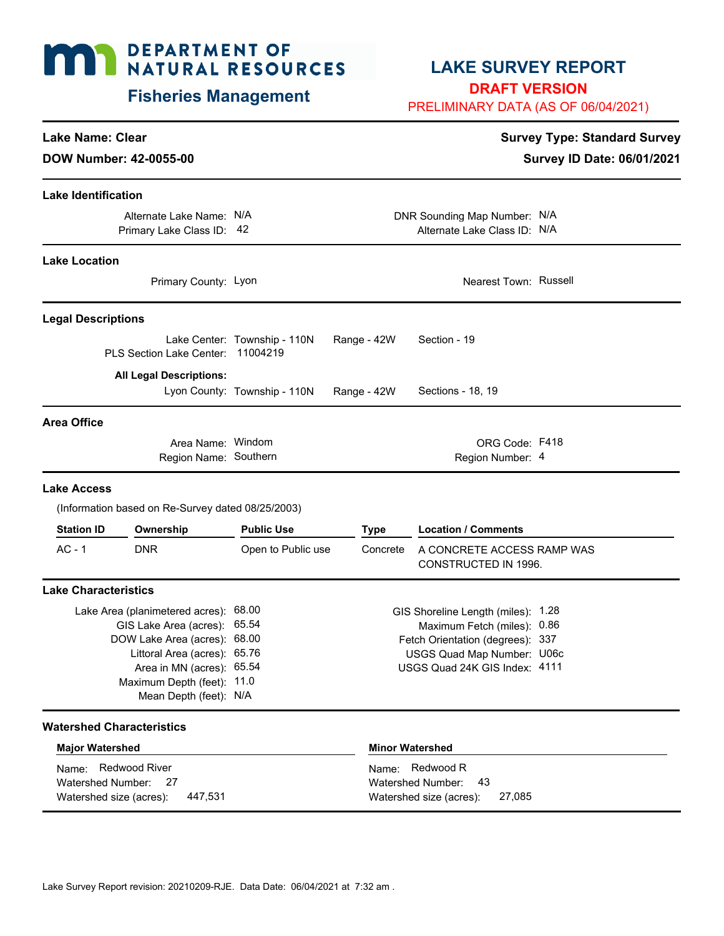# **MAN DEPARTMENT OF NATURAL RESOURCES**

## **Fisheries Management**

# **LAKE SURVEY REPORT**

**DRAFT VERSION**

PRELIMINARY DATA (AS OF 06/04/2021)

#### **Lake Name: Clear Survey Type: Standard Survey Survey Type: Standard Survey DOW Number: 42-0055-00 Survey ID Date: 06/01/2021 Lake Identification** Alternate Lake Name: N/A Primary Lake Class ID: 42 DNR Sounding Map Number: N/A Alternate Lake Class ID: N/A **Lake Location** Primary County: Lyon Nearest Town: Russell **Legal Descriptions** Lake Center: Township - 110N Range - 42W Section - 19 PLS Section Lake Center: 11004219 **All Legal Descriptions:** Lyon County: Township - 110N Range - 42W Sections - 18, 19 **Area Office** Area Name: Windom Region Name: ORG Code: F418 Region Number: Southern 4 **Lake Access** (Information based on Re-Survey dated 08/25/2003) **Station ID Ownership Public Use Type Location / Comments** AC - 1 DNR Open to Public use Concrete A CONCRETE ACCESS RAMP WAS CONSTRUCTED IN 1996. Open to Public use **Lake Characteristics** Lake Area (planimetered acres): 68.00 Area in MN (acres): 65.54 DOW Lake Area (acres): 68.00 Littoral Area (acres): 65.76 Maximum Depth (feet): 11.0 Mean Depth (feet): N/A GIS Shoreline Length (miles): 1.28 Maximum Fetch (miles): 0.86 Fetch Orientation (degrees): 337 USGS Quad Map Number: U06c GIS Lake Area (acres): 65.54 USGS Quad 24K GIS Index: 4111 Name: Name: Redwood River **Watershed Characteristics** Watershed size (acres): Watershed size (acres): **Major Watershed Minor Watershed** Watershed Number: 27 and 2008 watershed Number: 447,531 Name: Redwood R Watershed Number: 43 27,085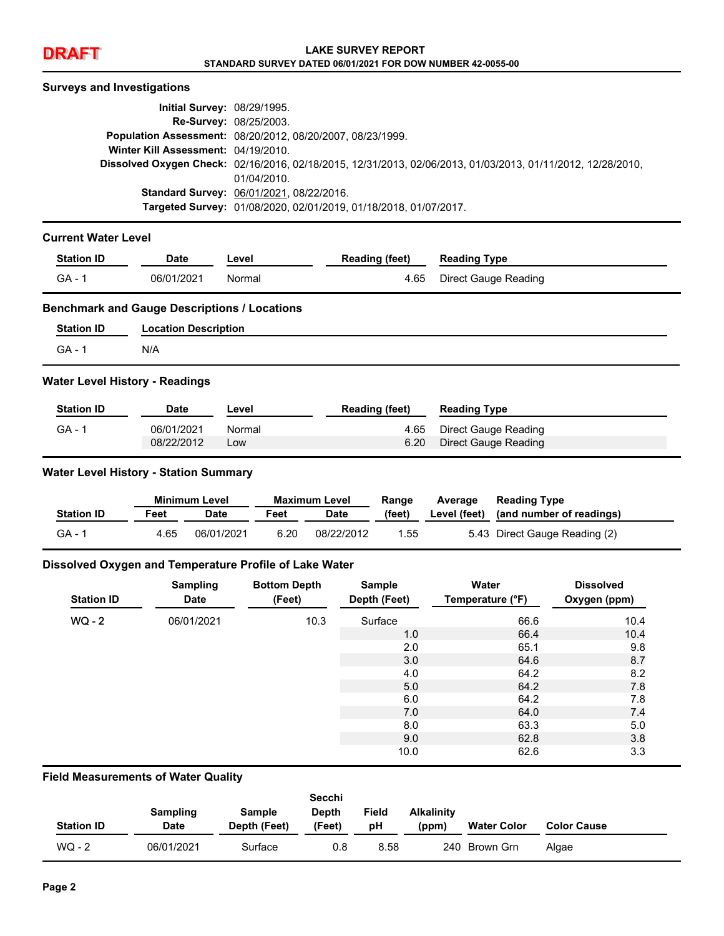

# **DRAFT LAKE SURVEY REPORT STANDARD SURVEY DATED 06/01/2021 FOR DOW NUMBER 42-0055-00**

#### **Surveys and Investigations**

| <b>Initial Survey: 08/29/1995.</b>  |                                                                                                             |
|-------------------------------------|-------------------------------------------------------------------------------------------------------------|
|                                     | <b>Re-Survey: 08/25/2003.</b>                                                                               |
|                                     | Population Assessment: 08/20/2012, 08/20/2007, 08/23/1999.                                                  |
| Winter Kill Assessment: 04/19/2010. |                                                                                                             |
|                                     | Dissolved Oxygen Check: 02/16/2016, 02/18/2015, 12/31/2013, 02/06/2013, 01/03/2013, 01/11/2012, 12/28/2010, |
|                                     | 01/04/2010.                                                                                                 |
|                                     | <b>Standard Survey: 06/01/2021.08/22/2016.</b>                                                              |
|                                     | Targeted Survey: 01/08/2020, 02/01/2019, 01/18/2018, 01/07/2017.                                            |

#### **Current Water Level**

| <b>Station ID</b> | Date       | ∟evel  | <b>Reading (feet)</b> | <b>Reading Type</b>  |
|-------------------|------------|--------|-----------------------|----------------------|
| GA -              | 06/01/2021 | Normal | 4.65                  | Direct Gauge Reading |

#### **Benchmark and Gauge Descriptions / Locations**

| <b>Station ID</b> | <b>Location Description</b> |
|-------------------|-----------------------------|
| GA -              | N/A                         |

#### **Water Level History - Readings**

| <b>Station ID</b> | Date       | ∟evel  | <b>Reading (feet)</b> | <b>Reading Type</b>  |
|-------------------|------------|--------|-----------------------|----------------------|
| GA - 1            | 06/01/2021 | Normal | 4.65                  | Direct Gauge Reading |
|                   | 08/22/2012 | Low    | 6.20                  | Direct Gauge Reading |

#### **Water Level History - Station Summary**

|                   | <b>Minimum Level</b> |            | <b>Maximum Level</b> |             | Range  | Average | <b>Reading Type</b>                   |
|-------------------|----------------------|------------|----------------------|-------------|--------|---------|---------------------------------------|
| <b>Station ID</b> | Feet                 | Date       | Feet                 | <b>Date</b> | (feet) |         | Level (feet) (and number of readings) |
| GA - 1            | 4.65                 | 06/01/2021 | 6.20                 | 08/22/2012  | 1.55   |         | 5.43 Direct Gauge Reading (2)         |

#### **Dissolved Oxygen and Temperature Profile of Lake Water**

| <b>Station ID</b> | <b>Sampling</b><br><b>Date</b> | <b>Bottom Depth</b><br>(Feet) | <b>Sample</b><br>Depth (Feet) | Water<br>Temperature (°F) | <b>Dissolved</b><br>Oxygen (ppm) |
|-------------------|--------------------------------|-------------------------------|-------------------------------|---------------------------|----------------------------------|
| $WQ - 2$          | 06/01/2021                     | 10.3                          | Surface                       | 66.6                      | 10.4                             |
|                   |                                |                               | 1.0                           | 66.4                      | 10.4                             |
|                   |                                |                               | 2.0                           | 65.1                      | 9.8                              |
|                   |                                |                               | 3.0                           | 64.6                      | 8.7                              |
|                   |                                |                               | 4.0                           | 64.2                      | 8.2                              |
|                   |                                |                               | 5.0                           | 64.2                      | 7.8                              |
|                   |                                |                               | 6.0                           | 64.2                      | 7.8                              |
|                   |                                |                               | 7.0                           | 64.0                      | 7.4                              |
|                   |                                |                               | 8.0                           | 63.3                      | 5.0                              |
|                   |                                |                               | 9.0                           | 62.8                      | 3.8                              |
|                   |                                |                               | 10.0                          | 62.6                      | 3.3                              |

#### **Field Measurements of Water Quality**

|                   |             |              | Secchi       |       |                   |                    |                    |  |
|-------------------|-------------|--------------|--------------|-------|-------------------|--------------------|--------------------|--|
|                   | Sampling    | Sample       | <b>Depth</b> | Field | <b>Alkalinity</b> |                    |                    |  |
| <b>Station ID</b> | <b>Date</b> | Depth (Feet) | (Feet)       | рH    | (ppm)             | <b>Water Color</b> | <b>Color Cause</b> |  |
| $WO - 2$          | 06/01/2021  | Surface      | 0.8          | 8.58  |                   | 240 Brown Grn      | Algae              |  |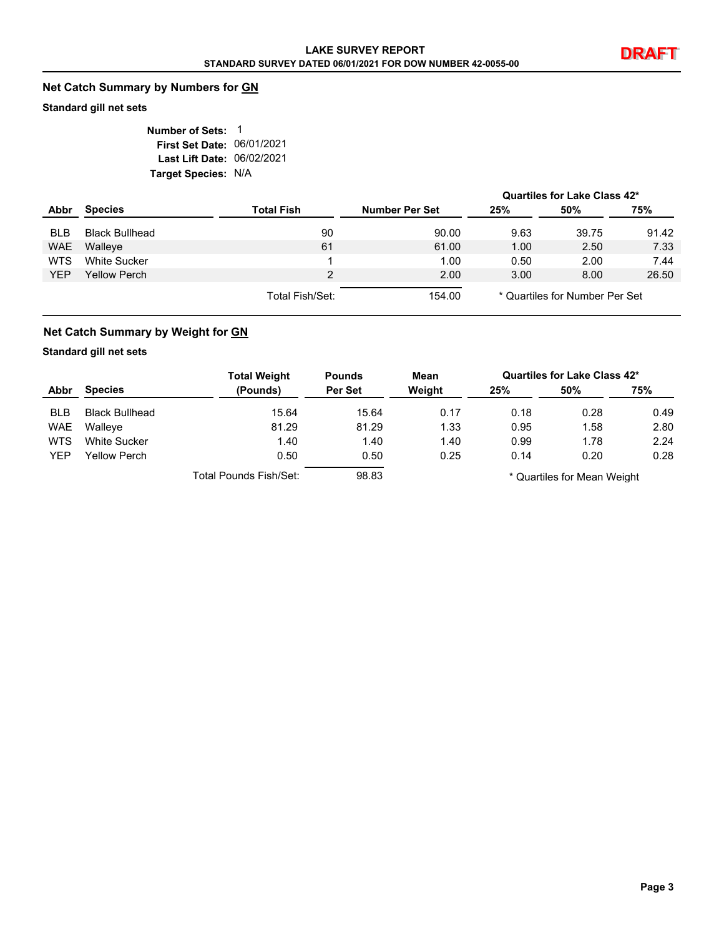#### **Net Catch Summary by Numbers for GN**

#### **Standard gill net sets**

| Number of Sets: 1          |  |
|----------------------------|--|
| First Set Date: 06/01/2021 |  |
| Last Lift Date: 06/02/2021 |  |
| Target Species: N/A        |  |

|            |                       |                   |                       |                                | Quartiles for Lake Class 42* |       |
|------------|-----------------------|-------------------|-----------------------|--------------------------------|------------------------------|-------|
| Abbr       | <b>Species</b>        | <b>Total Fish</b> | <b>Number Per Set</b> | 25%                            | 50%                          | 75%   |
| <b>BLB</b> | <b>Black Bullhead</b> | 90                | 90.00                 | 9.63                           | 39.75                        | 91.42 |
| WAE        | Walleye               | 61                | 61.00                 | 1.00                           | 2.50                         | 7.33  |
| <b>WTS</b> | <b>White Sucker</b>   |                   | 1.00                  | 0.50                           | 2.00                         | 7.44  |
| <b>YEP</b> | Yellow Perch          | $\mathcal{P}$     | 2.00                  | 3.00                           | 8.00                         | 26.50 |
|            |                       | Total Fish/Set:   | 154.00                | * Quartiles for Number Per Set |                              |       |

#### **Net Catch Summary by Weight for GN**

#### **Standard gill net sets**

|            |                       | <b>Total Weight</b>    | <b>Pounds</b> | Mean   |                             | Quartiles for Lake Class 42* |      |
|------------|-----------------------|------------------------|---------------|--------|-----------------------------|------------------------------|------|
| Abbr       | <b>Species</b>        | (Pounds)               | Per Set       | Weight | 25%                         | 50%                          | 75%  |
| <b>BLB</b> | <b>Black Bullhead</b> | 15.64                  | 15.64         | 0.17   | 0.18                        | 0.28                         | 0.49 |
| <b>WAE</b> | Walleye               | 81.29                  | 81.29         | 1.33   | 0.95                        | 1.58                         | 2.80 |
| <b>WTS</b> | <b>White Sucker</b>   | 1.40                   | 1.40          | 1.40   | 0.99                        | 1.78                         | 2.24 |
| YEP        | Yellow Perch          | 0.50                   | 0.50          | 0.25   | 0.14                        | 0.20                         | 0.28 |
|            |                       | Total Pounds Fish/Set: | 98.83         |        | * Quartiles for Mean Weight |                              |      |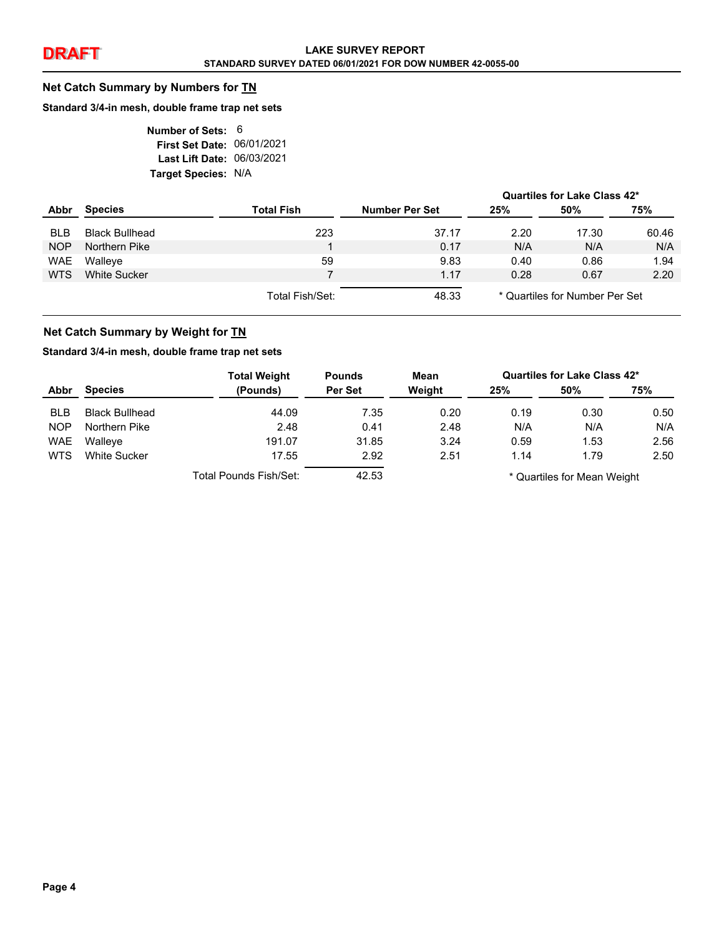#### **Net Catch Summary by Numbers for TN**

#### **Standard 3/4-in mesh, double frame trap net sets**

| Number of Sets: 6          |  |
|----------------------------|--|
| First Set Date: 06/01/2021 |  |
| Last Lift Date: 06/03/2021 |  |
| Target Species: N/A        |  |

|            |                       |                   |                |      | Quartiles for Lake Class 42*   |       |
|------------|-----------------------|-------------------|----------------|------|--------------------------------|-------|
| Abbr       | <b>Species</b>        | <b>Total Fish</b> | Number Per Set | 25%  | 50%                            | 75%   |
| BLB        | <b>Black Bullhead</b> | 223               | 37.17          | 2.20 | 17.30                          | 60.46 |
| <b>NOP</b> | Northern Pike         |                   | 0.17           | N/A  | N/A                            | N/A   |
| <b>WAE</b> | Walleye               | 59                | 9.83           | 0.40 | 0.86                           | 1.94  |
| <b>WTS</b> | <b>White Sucker</b>   |                   | 1.17           | 0.28 | 0.67                           | 2.20  |
|            |                       | Total Fish/Set:   | 48.33          |      | * Quartiles for Number Per Set |       |

#### **Net Catch Summary by Weight for TN**

#### **Standard 3/4-in mesh, double frame trap net sets**

|            |                       | <b>Total Weight</b>    | <b>Pounds</b> | Mean   | Quartiles for Lake Class 42* |      |      |
|------------|-----------------------|------------------------|---------------|--------|------------------------------|------|------|
| Abbr       | <b>Species</b>        | (Pounds)               | Per Set       | Weight | 25%                          | 50%  | 75%  |
| <b>BLB</b> | <b>Black Bullhead</b> | 44.09                  | 7.35          | 0.20   | 0.19                         | 0.30 | 0.50 |
| <b>NOP</b> | Northern Pike         | 2.48                   | 0.41          | 2.48   | N/A                          | N/A  | N/A  |
| <b>WAE</b> | Walleve               | 191.07                 | 31.85         | 3.24   | 0.59                         | 1.53 | 2.56 |
| <b>WTS</b> | <b>White Sucker</b>   | 17.55                  | 2.92          | 2.51   | 1.14                         | 1.79 | 2.50 |
|            |                       | Total Pounds Fish/Set: | 42.53         |        | * Quartiles for Mean Weight  |      |      |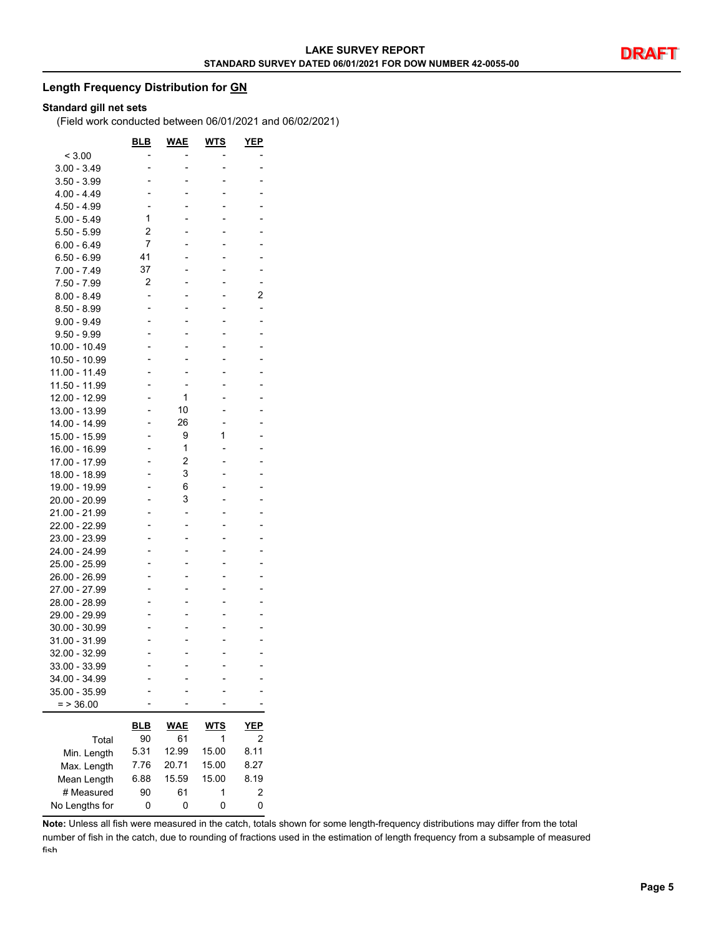#### **Length Frequency Distribution for GN**

#### **Standard gill net sets**

(Field work conducted between 06/01/2021 and 06/02/2021)

|                | <b>BLB</b>     | <b>WAE</b> | <u>WTS</u> | YEP  |
|----------------|----------------|------------|------------|------|
| < 3.00         |                |            |            |      |
| $3.00 - 3.49$  |                |            |            |      |
| $3.50 - 3.99$  |                |            |            |      |
| 4.00 - 4.49    |                |            |            |      |
| $4.50 - 4.99$  |                |            |            |      |
| $5.00 - 5.49$  | 1              |            |            |      |
| $5.50 - 5.99$  | 2              |            |            |      |
| $6.00 - 6.49$  | 7              |            |            |      |
| $6.50 - 6.99$  | 41             |            |            |      |
| $7.00 - 7.49$  | 37             |            |            |      |
| 7.50 - 7.99    | 2              |            |            |      |
| $8.00 - 8.49$  | $\overline{a}$ |            |            | 2    |
| $8.50 - 8.99$  |                |            |            |      |
| $9.00 - 9.49$  |                |            |            |      |
| $9.50 - 9.99$  |                |            |            |      |
| 10.00 - 10.49  |                |            |            |      |
| 10.50 - 10.99  |                |            |            |      |
| 11.00 - 11.49  |                |            |            |      |
| 11.50 - 11.99  |                |            |            |      |
| 12.00 - 12.99  |                | 1          |            |      |
| 13.00 - 13.99  |                | 10         |            |      |
| 14.00 - 14.99  | -              | 26         |            |      |
| 15.00 - 15.99  |                | 9          | 1          |      |
| 16.00 - 16.99  |                | 1          |            |      |
| 17.00 - 17.99  |                | 2          |            |      |
| 18.00 - 18.99  |                | 3          |            |      |
| 19.00 - 19.99  |                | 6          |            |      |
| 20.00 - 20.99  |                | 3          |            |      |
| 21.00 - 21.99  |                | -          |            |      |
| 22.00 - 22.99  |                |            |            |      |
| 23.00 - 23.99  |                |            |            |      |
| 24.00 - 24.99  |                |            |            |      |
| 25.00 - 25.99  |                |            |            |      |
| 26.00 - 26.99  |                |            |            |      |
| 27.00 - 27.99  |                |            |            |      |
| 28.00 - 28.99  |                |            |            |      |
| 29.00 - 29.99  |                |            |            |      |
| 30.00 - 30.99  |                |            |            |      |
| 31.00 - 31.99  |                |            |            |      |
| 32.00 - 32.99  |                |            |            |      |
| 33.00 - 33.99  |                |            |            |      |
| 34.00 - 34.99  |                |            |            |      |
| 35.00 - 35.99  |                |            |            |      |
| $=$ > 36.00    |                |            |            |      |
|                |                |            |            |      |
|                | <u>BLB</u>     | <b>WAE</b> | WTS        | YEP  |
| Total          | 90             | 61         | 1          | 2    |
| Min. Length    | 5.31           | 12.99      | 15.00      | 8.11 |
| Max. Length    | 7.76           | 20.71      | 15.00      | 8.27 |
| Mean Length    | 6.88           | 15.59      | 15.00      | 8.19 |
| # Measured     | 90             | 61         | 1          | 2    |
| No Lengths for | 0              | 0          | 0          | 0    |

**Note:** Unless all fish were measured in the catch, totals shown for some length-frequency distributions may differ from the total number of fish in the catch, due to rounding of fractions used in the estimation of length frequency from a subsample of measured fish.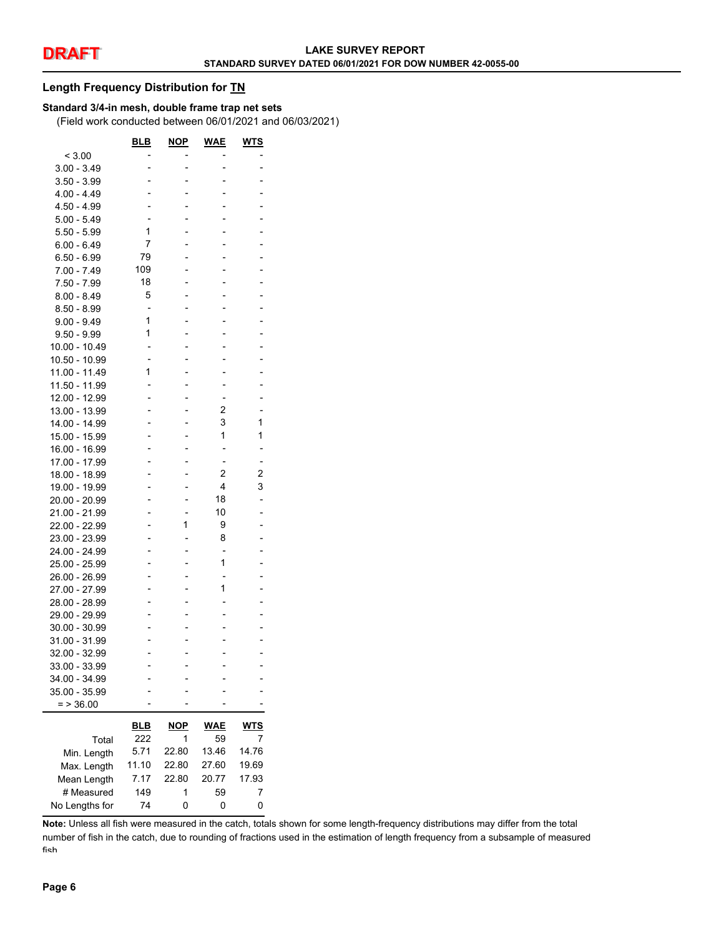#### **Length Frequency Distribution for TN**

#### **Standard 3/4-in mesh, double frame trap net sets**

(Field work conducted between 06/01/2021 and 06/03/2021)

|               | BLB            | <b>NOP</b> | WAE        | WTS        |
|---------------|----------------|------------|------------|------------|
| < 3.00        |                |            |            |            |
| $3.00 - 3.49$ |                |            |            |            |
| 3.50 - 3.99   |                |            |            |            |
| $4.00 - 4.49$ |                |            |            |            |
| 4.50 - 4.99   |                |            |            |            |
| $5.00 - 5.49$ |                |            |            |            |
| 5.50 - 5.99   | 1              |            |            |            |
| $6.00 - 6.49$ | 7              |            |            |            |
| $6.50 - 6.99$ | 79             |            |            |            |
| 7.00 - 7.49   | 109            |            |            |            |
| 7.50 - 7.99   | 18             |            |            |            |
| $8.00 - 8.49$ | 5              |            |            |            |
| $8.50 - 8.99$ | $\overline{a}$ |            |            |            |
| $9.00 - 9.49$ | 1              |            |            |            |
| $9.50 - 9.99$ | 1              |            |            |            |
| 10.00 - 10.49 |                |            |            |            |
| 10.50 - 10.99 |                |            |            |            |
| 11.00 - 11.49 | 1              |            |            |            |
| 11.50 - 11.99 |                |            |            |            |
| 12.00 - 12.99 |                |            |            |            |
| 13.00 - 13.99 |                |            | 2          |            |
| 14.00 - 14.99 |                |            | 3          | 1          |
| 15.00 - 15.99 |                |            | 1          | 1          |
| 16.00 - 16.99 |                |            |            |            |
| 17.00 - 17.99 |                |            |            |            |
| 18.00 - 18.99 |                |            | 2          | 2          |
| 19.00 - 19.99 |                |            | 4          | 3          |
| 20.00 - 20.99 |                |            | 18         | -          |
| 21.00 - 21.99 |                |            | 10         |            |
| 22.00 - 22.99 |                | 1          | 9          |            |
| 23.00 - 23.99 |                |            | 8          |            |
| 24.00 - 24.99 |                |            |            |            |
| 25.00 - 25.99 |                |            | 1          |            |
| 26.00 - 26.99 |                |            |            |            |
| 27.00 - 27.99 |                |            | 1          |            |
| 28.00 - 28.99 |                |            |            |            |
| 29.00 - 29.99 |                |            |            |            |
| 30.00 - 30.99 |                |            |            |            |
| 31.00 - 31.99 |                |            |            |            |
| 32.00 - 32.99 |                |            |            |            |
| 33.00 - 33.99 |                |            |            |            |
| 34.00 - 34.99 |                |            |            |            |
| 35.00 - 35.99 |                |            |            |            |
| $=$ > 36.00   |                |            |            |            |
|               |                |            |            |            |
|               | BLB            | <u>NOP</u> | <b>WAE</b> | <u>WTS</u> |
| Total         | 222            | 1          | 59         | 7          |
| Min. Length   | 5.71           | 22.80      | 13.46      | 14.76      |
| Max. Length   | 11.10          | 22.80      | 27.60      | 19.69      |
| Mean Length   | 7.17           | 22.80      | 20.77      | 17.93      |
| # Measured    | 149            | 1          | 59         | 7          |

74

0

0

0

**Note:** Unless all fish were measured in the catch, totals shown for some length-frequency distributions may differ from the total number of fish in the catch, due to rounding of fractions used in the estimation of length frequency from a subsample of measured fish.

No Lengths for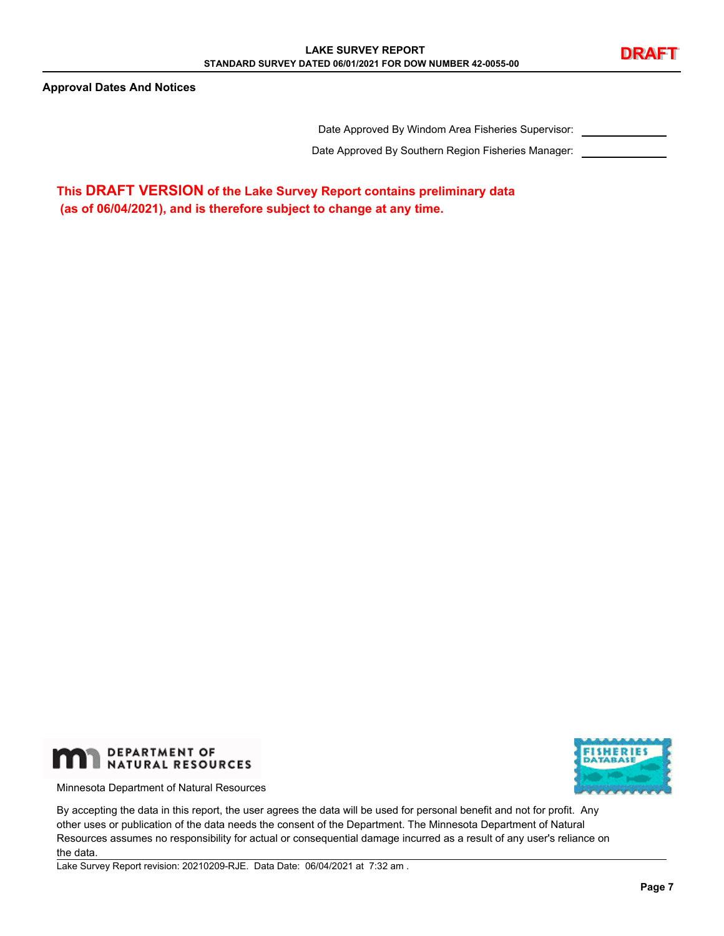**Approval Dates And Notices**

Date Approved By Windom Area Fisheries Supervisor:

Date Approved By Southern Region Fisheries Manager:

**This DRAFT VERSION of the Lake Survey Report contains preliminary data (as of 06/04/2021), and is therefore subject to change at any time.**



Minnesota Department of Natural Resources

By accepting the data in this report, the user agrees the data will be used for personal benefit and not for profit. Any other uses or publication of the data needs the consent of the Department. The Minnesota Department of Natural Resources assumes no responsibility for actual or consequential damage incurred as a result of any user's reliance on the data.

Lake Survey Report revision: 20210209-RJE. Data Date: 06/04/2021 at 7:32 am .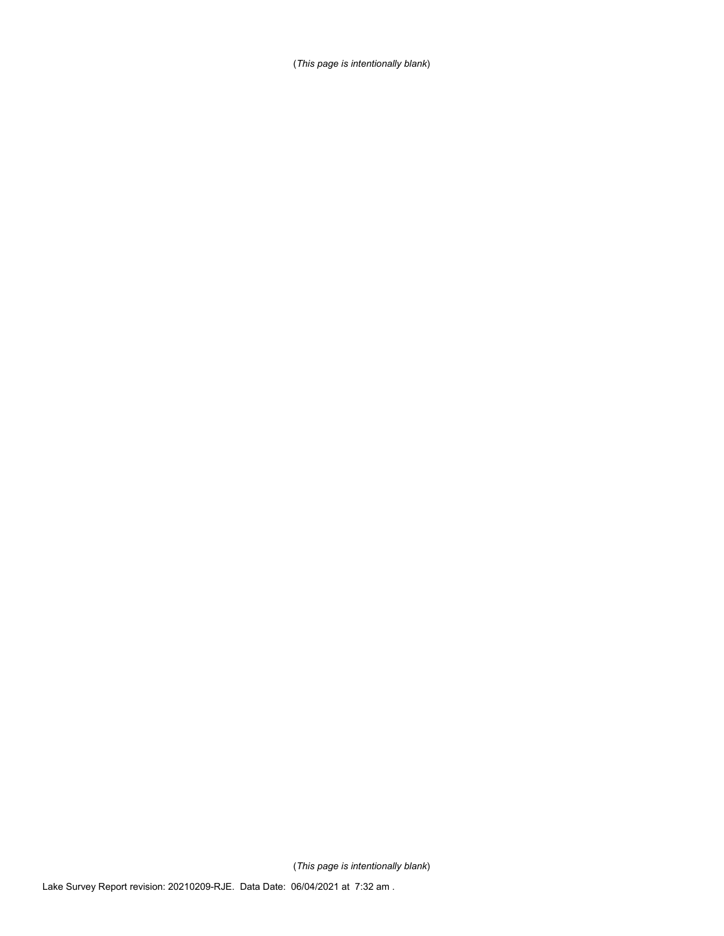(*This page is intentionally blank*)

(*This page is intentionally blank*)